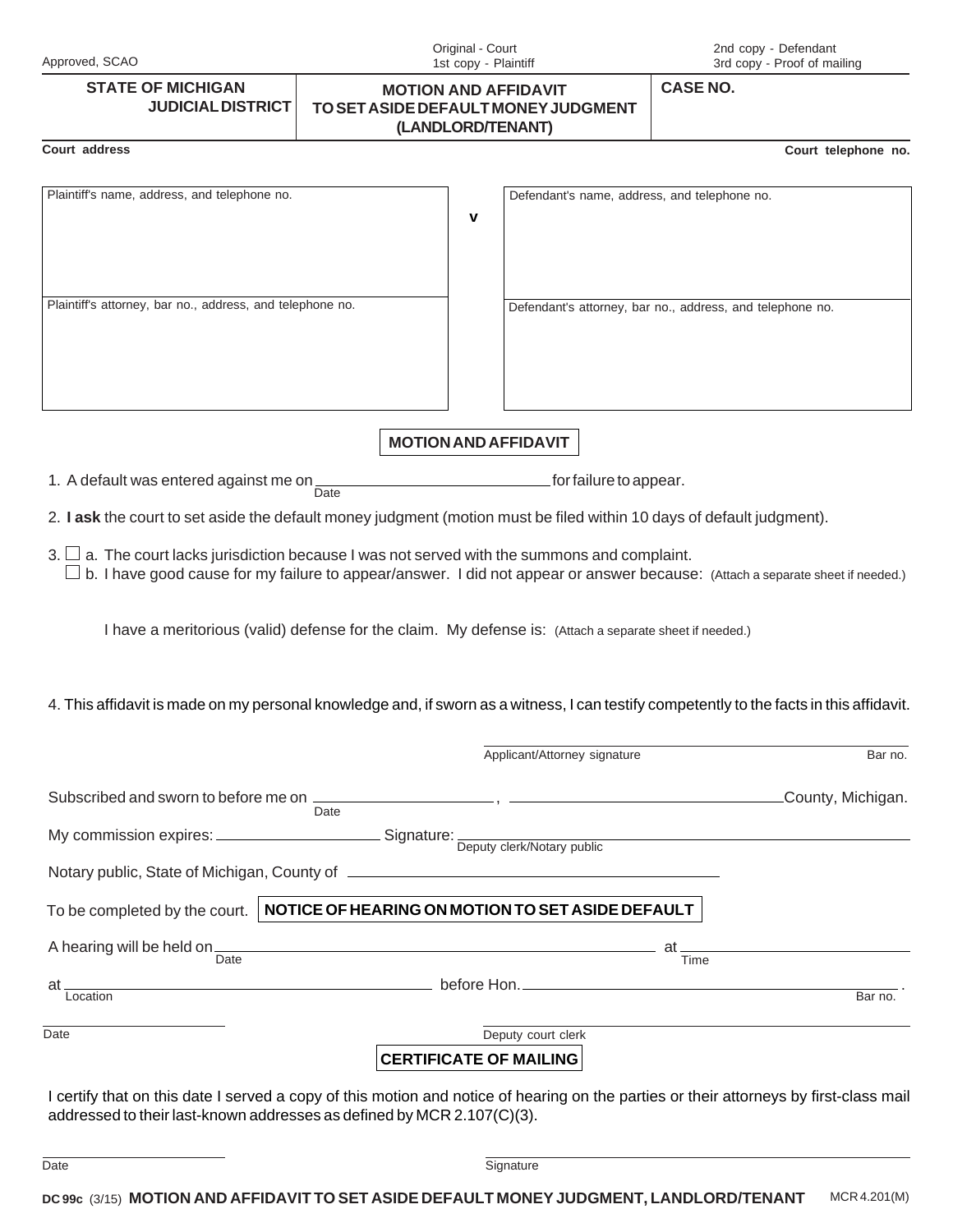| Approved, SCAO                                                         | Original - Court<br>1st copy - Plaintiff                                                                                                                                                                                             |                              | 2nd copy - Defendant<br>3rd copy - Proof of mailing       |
|------------------------------------------------------------------------|--------------------------------------------------------------------------------------------------------------------------------------------------------------------------------------------------------------------------------------|------------------------------|-----------------------------------------------------------|
| <b>STATE OF MICHIGAN</b><br><b>JUDICIAL DISTRICT</b>                   | <b>MOTION AND AFFIDAVIT</b><br>TO SET ASIDE DEFAULT MONEY JUDGMENT<br>(LANDLORD/TENANT)                                                                                                                                              |                              | <b>CASE NO.</b>                                           |
| Court address                                                          |                                                                                                                                                                                                                                      |                              | Court telephone no.                                       |
| Plaintiff's name, address, and telephone no.                           | $\mathbf v$                                                                                                                                                                                                                          |                              | Defendant's name, address, and telephone no.              |
| Plaintiff's attorney, bar no., address, and telephone no.              |                                                                                                                                                                                                                                      |                              | Defendant's attorney, bar no., address, and telephone no. |
|                                                                        | <b>MOTION AND AFFIDAVIT</b>                                                                                                                                                                                                          |                              |                                                           |
| 1. A default was entered against me on                                 | Date                                                                                                                                                                                                                                 | for failure to appear.       |                                                           |
|                                                                        | 2. I ask the court to set aside the default money judgment (motion must be filed within 10 days of default judgment).                                                                                                                |                              |                                                           |
|                                                                        | $3. \Box$ a. The court lacks jurisdiction because I was not served with the summons and complaint.<br>b. I have good cause for my failure to appear/answer. I did not appear or answer because: (Attach a separate sheet if needed.) |                              |                                                           |
|                                                                        | I have a meritorious (valid) defense for the claim. My defense is: (Attach a separate sheet if needed.)                                                                                                                              |                              |                                                           |
|                                                                        | 4. This affidavit is made on my personal knowledge and, if sworn as a witness, I can testify competently to the facts in this affidavit.                                                                                             |                              |                                                           |
|                                                                        |                                                                                                                                                                                                                                      | Applicant/Attorney signature | Bar no.                                                   |
|                                                                        | Subscribed and sworn to before me on Date Date (County, Michigan.                                                                                                                                                                    |                              |                                                           |
|                                                                        |                                                                                                                                                                                                                                      |                              |                                                           |
|                                                                        |                                                                                                                                                                                                                                      |                              |                                                           |
|                                                                        | To be completed by the court.   NOTICE OF HEARING ON MOTION TO SET ASIDE DEFAULT                                                                                                                                                     |                              |                                                           |
|                                                                        | A hearing will be held on $\frac{1}{\text{Date}}$                                                                                                                                                                                    |                              |                                                           |
|                                                                        | at Location<br>Location                                                                                                                                                                                                              |                              |                                                           |
|                                                                        |                                                                                                                                                                                                                                      |                              | Bar no.                                                   |
| Date                                                                   | Deputy court clerk<br><b>CERTIFICATE OF MAILING</b>                                                                                                                                                                                  |                              |                                                           |
| addressed to their last-known addresses as defined by MCR 2.107(C)(3). | I certify that on this date I served a copy of this motion and notice of hearing on the parties or their attorneys by first-class mail                                                                                               |                              |                                                           |

| Date | าทลtur                                                                                                                                                                                                                                                                                                                                                                                                                                                                                                                                                                                                     |          |  |  |
|------|------------------------------------------------------------------------------------------------------------------------------------------------------------------------------------------------------------------------------------------------------------------------------------------------------------------------------------------------------------------------------------------------------------------------------------------------------------------------------------------------------------------------------------------------------------------------------------------------------------|----------|--|--|
|      |                                                                                                                                                                                                                                                                                                                                                                                                                                                                                                                                                                                                            |          |  |  |
|      | $\ldots \xrightarrow{a} \xrightarrow{a} \xrightarrow{a} \xrightarrow{b} \xrightarrow{c} \xrightarrow{c} \xrightarrow{c} \xrightarrow{c} \xrightarrow{c} \xrightarrow{c} \xrightarrow{c} \xrightarrow{c} \xrightarrow{c} \xrightarrow{c} \xrightarrow{c} \xrightarrow{c} \xrightarrow{c} \xrightarrow{c} \xrightarrow{c} \xrightarrow{c} \xrightarrow{c} \xrightarrow{c} \xrightarrow{c} \xrightarrow{c} \xrightarrow{c} \xrightarrow{c} \xrightarrow{c} \xrightarrow{c} \xrightarrow{c} \xrightarrow{c} \xrightarrow{c} \xrightarrow{c} \xrightarrow{c} \xrightarrow{c} \xrightarrow{c} \xrightarrow{c} \$ | $\cdots$ |  |  |